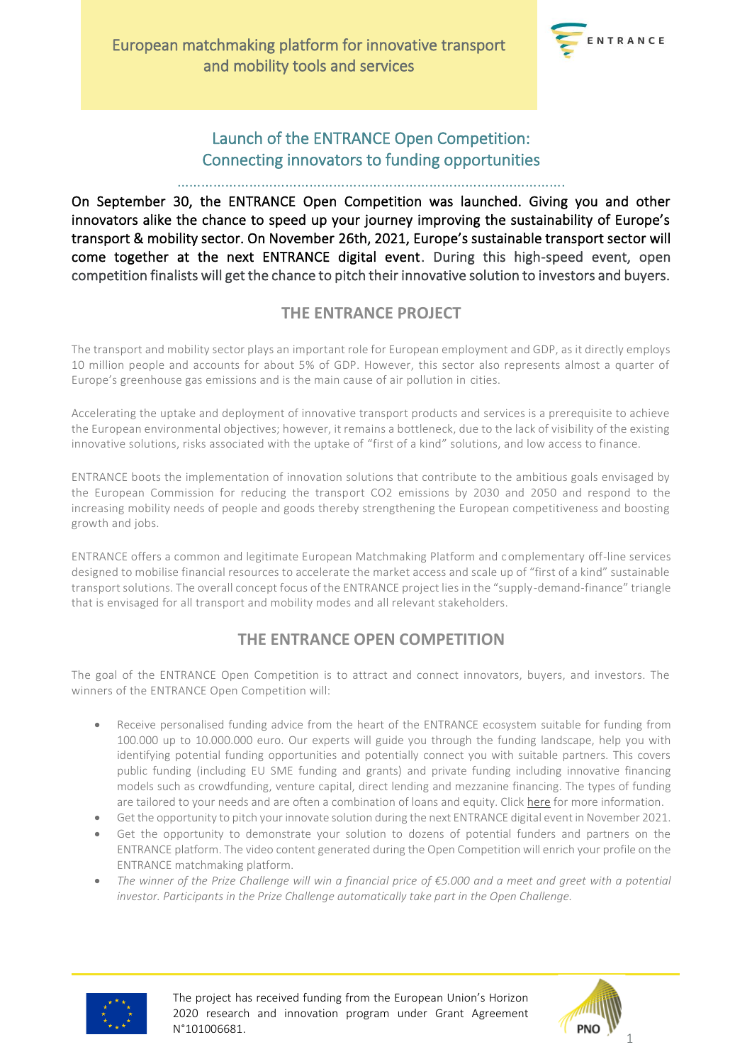

### Launch of the ENTRANCE Open Competition: Connecting innovators to funding opportunities

#### …………………………………………………………………………………….

On September 30, the ENTRANCE Open Competition was launched. Giving you and other innovators alike the chance to speed up your journey improving the sustainability of Europe's transport & mobility sector. On November 26th, 2021, Europe's sustainable transport sector will come together at the next ENTRANCE digital event. During this high-speed event, open competition finalists will get the chance to pitch their innovative solution to investors and buyers.

### **THE ENTRANCE PROJECT**

The transport and mobility sector plays an important role for European employment and GDP, as it directly employs 10 million people and accounts for about 5% of GDP. However, this sector also represents almost a quarter of Europe's greenhouse gas emissions and is the main cause of air pollution in cities.

Accelerating the uptake and deployment of innovative transport products and services is a prerequisite to achieve the European environmental objectives; however, it remains a bottleneck, due to the lack of visibility of the existing innovative solutions, risks associated with the uptake of "first of a kind" solutions, and low access to finance.

ENTRANCE boots the implementation of innovation solutions that contribute to the ambitious goals envisaged by the European Commission for reducing the transport CO2 emissions by 2030 and 2050 and respond to the increasing mobility needs of people and goods thereby strengthening the European competitiveness and boosting growth and jobs.

ENTRANCE offers a common and legitimate European Matchmaking Platform and complementary off-line services designed to mobilise financial resources to accelerate the market access and scale up of "first of a kind" sustainable transport solutions. The overall concept focus of the ENTRANCE project lies in the "supply-demand-finance" triangle that is envisaged for all transport and mobility modes and all relevant stakeholders.

### **THE ENTRANCE OPEN COMPETITION**

The goal of the ENTRANCE Open Competition is to attract and connect innovators, buyers, and investors. The winners of the ENTRANCE Open Competition will:

- Receive personalised funding advice from the heart of the ENTRANCE ecosystem suitable for funding from 100.000 up to 10.000.000 euro. Our experts will guide you through the funding landscape, help you with identifying potential funding opportunities and potentially connect you with suitable partners. This covers public funding (including EU SME funding and grants) and private funding including innovative financing models such as crowdfunding, venture capital, direct lending and mezzanine financing. The types of funding are tailored to your needs and are often a combination of loans and equity. Click [here](https://www.entrance-platform.eu/the-project/what/innovation-finance-support-services/) for more information.
- Get the opportunity to pitch your innovate solution during the next ENTRANCE digital event in November 2021.
- Get the opportunity to demonstrate your solution to dozens of potential funders and partners on the [ENTRANCE platform.](https://www.entrance-platform.eu/) The video content generated during the Open Competition will enrich your profile on the ENTRANCE matchmaking platform.
- *The winner of the Prize Challenge will win a financial price of €5.000 and a meet and greet with a potential investor. Participants in the Prize Challenge automatically take part in the Open Challenge.*



The project has received funding from the European Union's Horizon 2020 research and innovation program under Grant Agreement N°101006681.

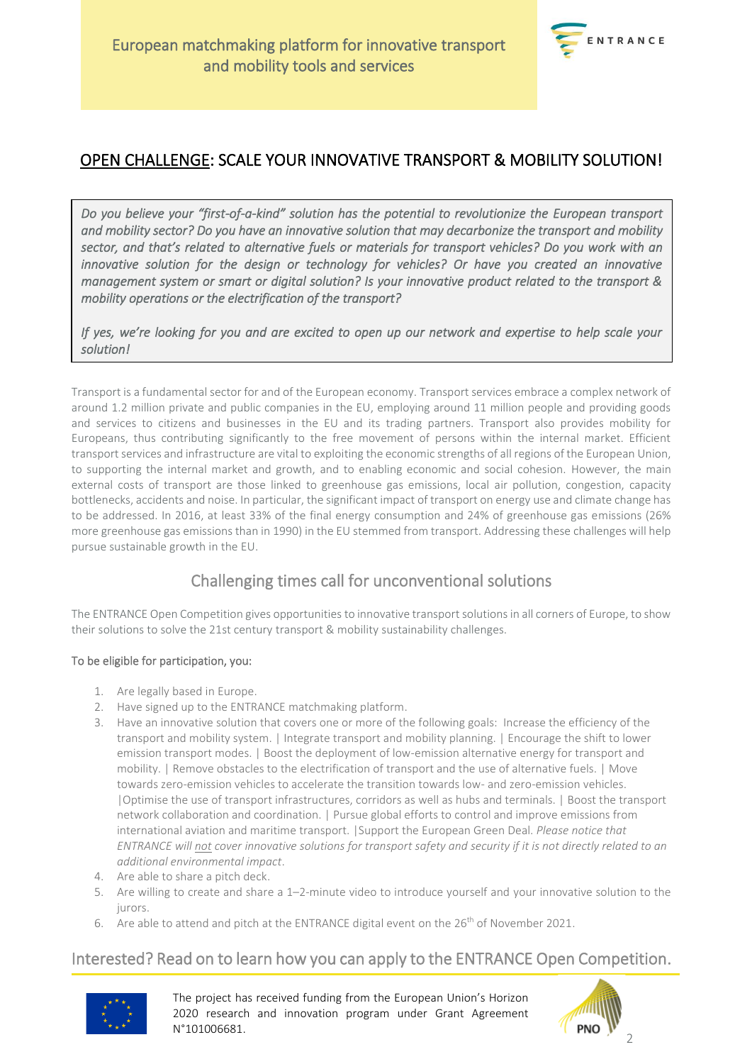

### OPEN CHALLENGE: SCALE YOUR INNOVATIVE TRANSPORT & MOBILITY SOLUTION!

*Do you believe your "first-of-a-kind" solution has the potential to revolutionize the European transport and mobility sector? Do you have an innovative solution that may decarbonize the transport and mobility sector, and that's related to alternative fuels or materials for transport vehicles? Do you work with an innovative solution for the design or technology for vehicles? Or have you created an innovative management system or smart or digital solution? Is your innovative product related to the transport & mobility operations or the electrification of the transport?* 

*If yes, we're looking for you and are excited to open up our network and expertise to help scale your solution!* 

Transport is a fundamental sector for and of the European economy. Transport services embrace a complex network of around 1.2 million private and public companies in the EU, employing around 11 million people and providing goods and services to citizens and businesses in the EU and its trading partners. Transport also provides mobility for Europeans, thus contributing significantly to the free movement of persons within the internal market. Efficient transport services and infrastructure are vital to exploiting the economic strengths of all regions of the European Union, to supporting the internal market and growth, and to enabling economic and social cohesion. However, the main external costs of transport are those linked to greenhouse gas emissions, local air pollution, congestion, capacity bottlenecks, accidents and noise. In particular, the significant impact of transport on energy use and climate change has to be addressed. In 2016, at least 33% of the final energy consumption and 24% of greenhouse gas emissions (26% more greenhouse gas emissions than in 1990) in the EU stemmed from transport. Addressing these challenges will help pursue sustainable growth in the EU.

## Challenging times call for unconventional solutions

The ENTRANCE Open Competition gives opportunities to innovative transport solutions in all corners of Europe, to show their solutions to solve the 21st century transport & mobility sustainability challenges.

### To be eligible for participation, you:

- 1. Are legally based in Europe.
- 2. Have signed up to th[e ENTRANCE matchmaking platform.](https://www.entrance-platform.eu/)
- 3. Have an innovative solution that covers one or more of the following goals: Increase the efficiency of the transport and mobility system. | Integrate transport and mobility planning. | Encourage the shift to lower emission transport modes. | Boost the deployment of low-emission alternative energy for transport and mobility. | Remove obstacles to the electrification of transport and the use of alternative fuels. | Move towards zero-emission vehicles to accelerate the transition towards low- and zero-emission vehicles. |Optimise the use of transport infrastructures, corridors as well as hubs and terminals. | Boost the transport network collaboration and coordination. | Pursue global efforts to control and improve emissions from international aviation and maritime transport. |Support the European Green Deal. *Please notice that ENTRANCE will not cover innovative solutions for transport safety and security if it is not directly related to an additional environmental impact*.
- 4. Are able to share a pitch deck.
- 5. Are willing to create and share a 1–2-minute video to introduce yourself and your innovative solution to the jurors.
- 6. Are able to attend and pitch at the ENTRANCE digital event on the  $26<sup>th</sup>$  of November 2021.

### Interested? Read on to learn how you can apply to the ENTRANCE Open Competition.



The project has received funding from the European Union's Horizon 2020 research and innovation program under Grant Agreement N°101006681.

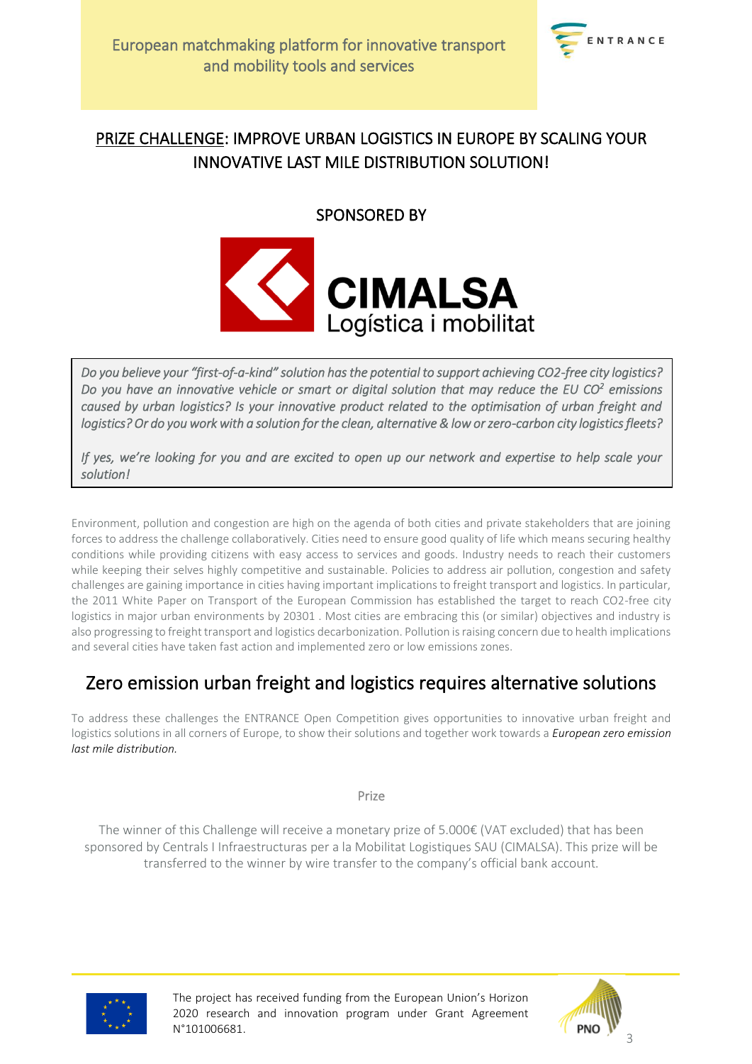

# PRIZE CHALLENGE: IMPROVE URBAN LOGISTICS IN EUROPE BY SCALING YOUR INNOVATIVE LAST MILE DISTRIBUTION SOLUTION!

SPONSORED BY



*Do you believe your "first-of-a-kind" solution has the potential to support achieving CO2-free city logistics? Do you have an innovative vehicle or smart or digital solution that may reduce the EU CO<sup>2</sup> emissions caused by urban logistics? Is your innovative product related to the optimisation of urban freight and logistics? Or do you work with a solution for the clean, alternative & low or zero-carbon city logistics fleets?* 

*If yes, we're looking for you and are excited to open up our network and expertise to help scale your solution!* 

Environment, pollution and congestion are high on the agenda of both cities and private stakeholders that are joining forces to address the challenge collaboratively. Cities need to ensure good quality of life which means securing healthy conditions while providing citizens with easy access to services and goods. Industry needs to reach their customers while keeping their selves highly competitive and sustainable. Policies to address air pollution, congestion and safety challenges are gaining importance in cities having important implications to freight transport and logistics. In particular, the 2011 White Paper on Transport of the European Commission has established the target to reach CO2-free city logistics in major urban environments by 20301. Most cities are embracing this (or similar) objectives and industry is also progressing to freight transport and logistics decarbonization. Pollution is raising concern due to health implications and several cities have taken fast action and implemented zero or low emissions zones.

# Zero emission urban freight and logistics requires alternative solutions

To address these challenges the ENTRANCE Open Competition gives opportunities to innovative urban freight and logistics solutions in all corners of Europe, to show their solutions and together work towards a *European zero emission last mile distribution.*

Prize

The winner of this Challenge will receive a monetary prize of 5.000€ (VAT excluded) that has been sponsored by Centrals I Infraestructuras per a la Mobilitat Logistiques SAU (CIMALSA). This prize will be transferred to the winner by wire transfer to the company's official bank account.



The project has received funding from the European Union's Horizon 2020 research and innovation program under Grant Agreement N°101006681.

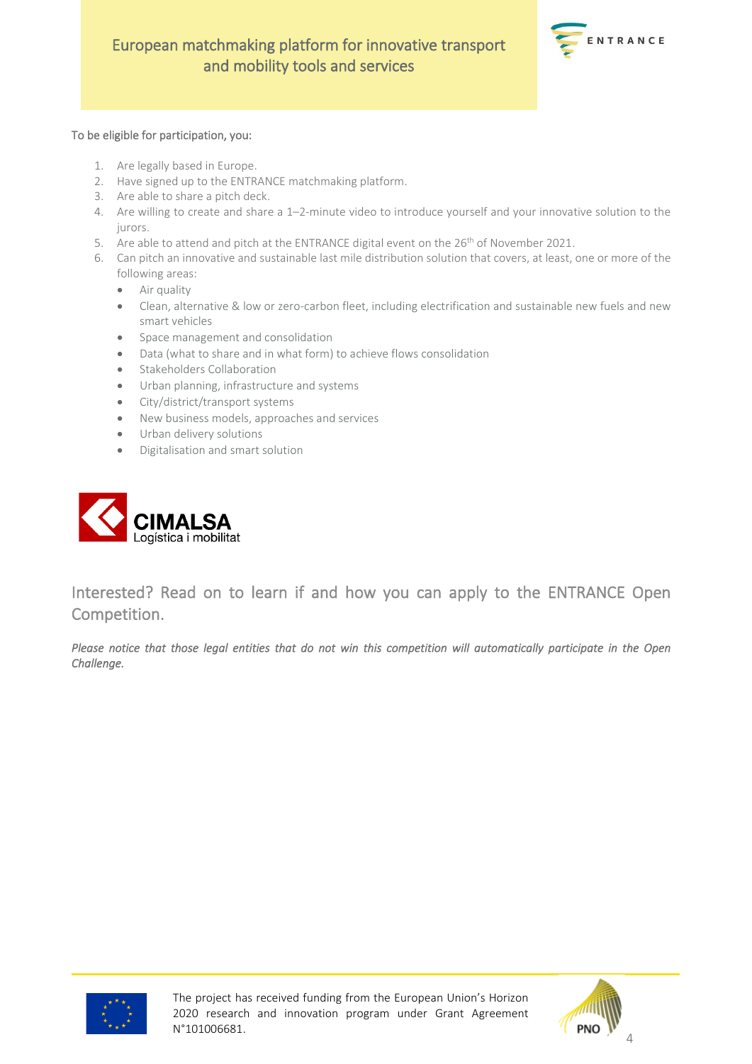

#### To be eligible for participation, you:

- 1. Are legally based in Europe.
- 2. Have signed up to th[e ENTRANCE matchmaking platform.](https://www.entrance-platform.eu/)
- 3. Are able to share a pitch deck.
- 4. Are willing to create and share a 1–2-minute video to introduce yourself and your innovative solution to the jurors.
- 5. Are able to attend and pitch at the ENTRANCE digital event on the 26<sup>th</sup> of November 2021.
- 6. Can pitch an innovative and sustainable last mile distribution solution that covers, at least, one or more of the following areas:
	- Air quality
	- Clean, alternative & low or zero-carbon fleet, including electrification and sustainable new fuels and new smart vehicles
	- Space management and consolidation
	- Data (what to share and in what form) to achieve flows consolidation
	- Stakeholders Collaboration
	- Urban planning, infrastructure and systems
	- City/district/transport systems
	- New business models, approaches and services
	- Urban delivery solutions
	- Digitalisation and smart solution



Interested? Read on to learn if and how you can apply to the ENTRANCE Open Competition.

*Please notice that those legal entities that do not win this competition will automatically participate in the Open Challenge.* 



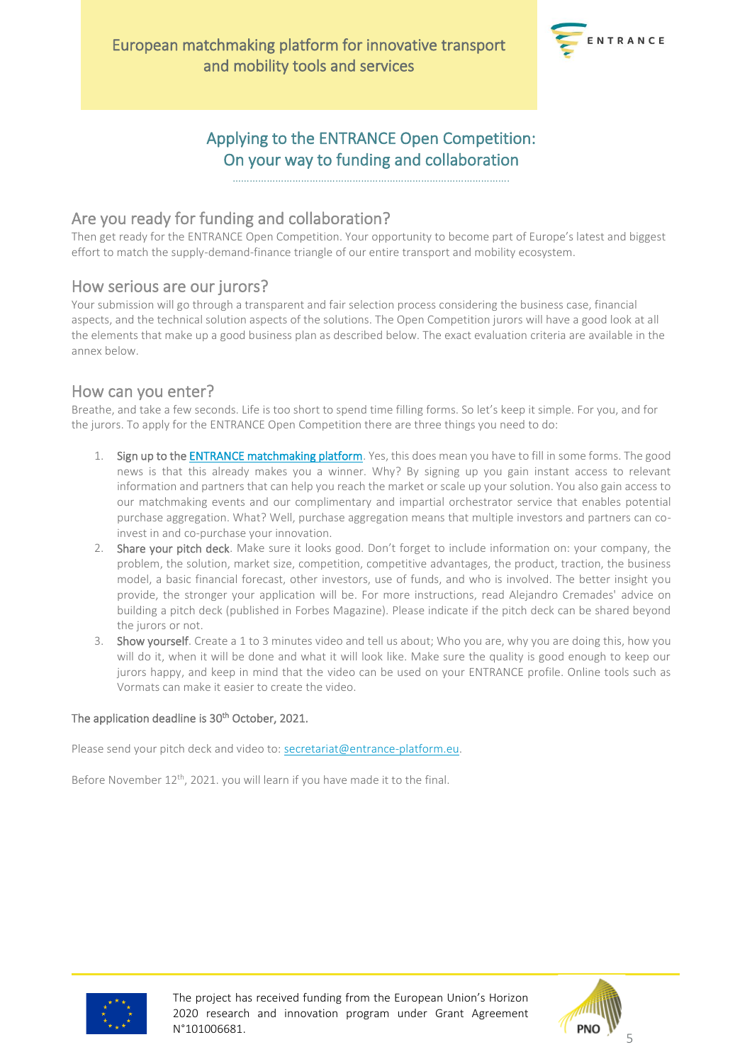

### Applying to the ENTRANCE Open Competition: On your way to funding and collaboration

…………………………………………………………………………………….

### Are you ready for funding and collaboration?

Then get ready for the ENTRANCE Open Competition. Your opportunity to become part of Europe's latest and biggest effort to match the supply-demand-finance triangle of our entire transport and mobility ecosystem.

### How serious are our jurors?

Your submission will go through a transparent and fair selection process considering the business case, financial aspects, and the technical solution aspects of the solutions. The Open Competition jurors will have a good look at all the elements that make up a good business plan as described below. The exact evaluation criteria are available in the annex below.

### How can you enter?

Breathe, and take a few seconds. Life is too short to spend time filling forms. So let's keep it simple. For you, and for the jurors. To apply for the ENTRANCE Open Competition there are three things you need to do:

- 1. Sign up to the **ENTRANCE matchmaking platform**. Yes, this does mean you have to fill in some forms. The good news is that this already makes you a winner. Why? By signing up you gain instant access to relevant information and partners that can help you reach the market or scale up your solution. You also gain access to our matchmaking events and our complimentary and impartial orchestrator service that enables potential purchase aggregation. What? Well, purchase aggregation means that multiple investors and partners can coinvest in and co-purchase your innovation.
- 2. Share your pitch deck. Make sure it looks good. Don't forget to include information on: your company, the problem, the solution, market size, competition, competitive advantages, the product, traction, the business model, a basic financial forecast, other investors, use of funds, and who is involved. The better insight you provide, the stronger your application will be. For more instructions, read Alejandro Cremades' [advice](https://www.forbes.com/sites/alejandrocremades/2018/07/28/pitch-deck-template-exactly-what-to-include/?sh=5f5e490674c5) on building a pitch deck (published in [Forbes Magazine\)](https://www.forbes.com/sites/alejandrocremades/2018/07/28/pitch-deck-template-exactly-what-to-include/?sh=5f5e490674c5). Please indicate if the pitch deck can be shared beyond the jurors or not.
- 3. Show yourself. Create a 1 to 3 minutes video and tell us about; Who you are, why you are doing this, how you will do it, when it will be done and what it will look like. Make sure the quality is good enough to keep our jurors happy, and keep in mind that the video can be used on your ENTRANCE profile. Online tools such as [Vormats](https://vormats.com/) can make it easier to create the video.

### The application deadline is 30<sup>th</sup> October, 2021.

Please send your pitch deck and video to: [secretariat@entrance-platform.eu.](mailto:secretariat@entrance-platform.eu)

Before November 12<sup>th</sup>, 2021. you will learn if you have made it to the final.